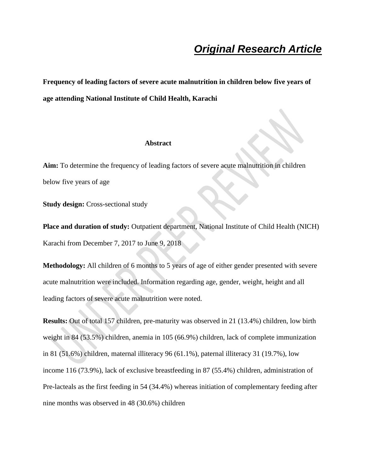# *Original Research Article*

**Frequency of leading factors of severe acute malnutrition in children below five years of age attending National Institute of Child Health, Karachi**

#### **Abstract**

**Aim:** To determine the frequency of leading factors of severe acute malnutrition in children below five years of age

**Study design:** Cross-sectional study

**Place and duration of study:** Outpatient department, National Institute of Child Health (NICH) Karachi from December 7, 2017 to June 9, 2018

**Methodology:** All children of 6 months to 5 years of age of either gender presented with severe acute malnutrition were included. Information regarding age, gender, weight, height and all leading factors of severe acute malnutrition were noted.

**Results:** Out of total 157 children, pre-maturity was observed in 21 (13.4%) children, low birth weight in 84 (53.5%) children, anemia in 105 (66.9%) children, lack of complete immunization in 81 (51.6%) children, maternal illiteracy 96 (61.1%), paternal illiteracy 31 (19.7%), low income 116 (73.9%), lack of exclusive breastfeeding in 87 (55.4%) children, administration of Pre-lacteals as the first feeding in 54 (34.4%) whereas initiation of complementary feeding after nine months was observed in 48 (30.6%) children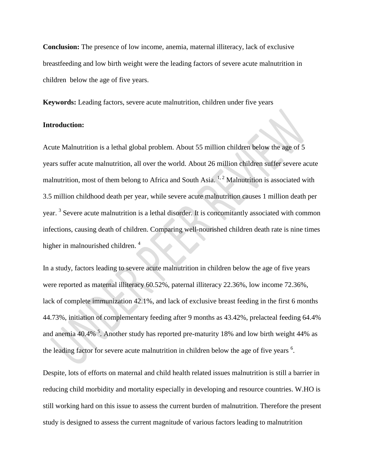**Conclusion:** The presence of low income, anemia, maternal illiteracy, lack of exclusive breastfeeding and low birth weight were the leading factors of severe acute malnutrition in children below the age of five years.

**Keywords:** Leading factors, severe acute malnutrition, children under five years

#### **Introduction:**

Acute Malnutrition is a lethal global problem. About 55 million children below the age of 5 years suffer acute malnutrition, all over the world. About 26 million children suffer severe acute malnutrition, most of them belong to Africa and South Asia.  $1, 2$  Malnutrition is associated with 3.5 million childhood death per year, while severe acute malnutrition causes 1 million death per year.<sup>3</sup> Severe acute malnutrition is a lethal disorder. It is concomitantly associated with common infections, causing death of children. Comparing well-nourished children death rate is nine times higher in malnourished children.<sup>4</sup>

In a study, factors leading to severe acute malnutrition in children below the age of five years were reported as maternal illiteracy 60.52%, paternal illiteracy 22.36%, low income 72.36%, lack of complete immunization 42.1%, and lack of exclusive breast feeding in the first 6 months 44.73%, initiation of complementary feeding after 9 months as 43.42%, prelacteal feeding 64.4% and anemia 40.4%  $\frac{5}{3}$ . Another study has reported pre-maturity 18% and low birth weight 44% as the leading factor for severe acute malnutrition in children below the age of five years  $6$ .

Despite, lots of efforts on maternal and child health related issues malnutrition is still a barrier in reducing child morbidity and mortality especially in developing and resource countries. W.HO is still working hard on this issue to assess the current burden of malnutrition. Therefore the present study is designed to assess the current magnitude of various factors leading to malnutrition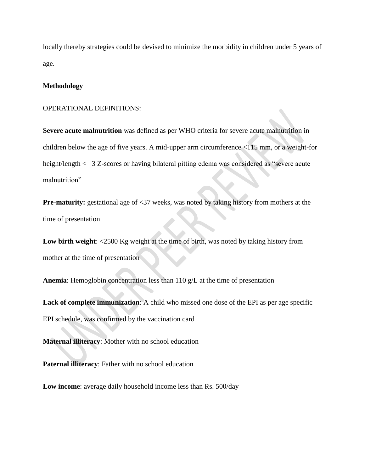locally thereby strategies could be devised to minimize the morbidity in children under 5 years of age.

#### **Methodology**

#### OPERATIONAL DEFINITIONS:

**Severe acute malnutrition** was defined as per WHO criteria for severe acute malnutrition in children below the age of five years. A mid-upper arm circumference <115 mm, or a weight-for height/length < –3 Z-scores or having bilateral pitting edema was considered as "severe acute malnutrition"

**Pre-maturity:** gestational age of <37 weeks, was noted by taking history from mothers at the time of presentation

**Low birth weight**: <2500 Kg weight at the time of birth, was noted by taking history from mother at the time of presentation

**Anemia**: Hemoglobin concentration less than 110 g/L at the time of presentation

**Lack of complete immunization**: A child who missed one dose of the EPI as per age specific EPI schedule, was confirmed by the vaccination card

**Maternal illiteracy**: Mother with no school education

**Paternal illiteracy**: Father with no school education

**Low income**: average daily household income less than Rs. 500/day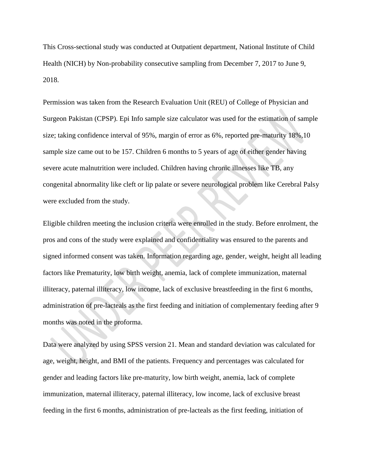This Cross-sectional study was conducted at Outpatient department, National Institute of Child Health (NICH) by Non-probability consecutive sampling from December 7, 2017 to June 9, 2018.

Permission was taken from the Research Evaluation Unit (REU) of College of Physician and Surgeon Pakistan (CPSP). Epi Info sample size calculator was used for the estimation of sample size; taking confidence interval of 95%, margin of error as 6%, reported pre-maturity 18%,10 sample size came out to be 157. Children 6 months to 5 years of age of either gender having severe acute malnutrition were included. Children having chronic illnesses like TB, any congenital abnormality like cleft or lip palate or severe neurological problem like Cerebral Palsy were excluded from the study.

Eligible children meeting the inclusion criteria were enrolled in the study. Before enrolment, the pros and cons of the study were explained and confidentiality was ensured to the parents and signed informed consent was taken. Information regarding age, gender, weight, height all leading factors like Prematurity, low birth weight, anemia, lack of complete immunization, maternal illiteracy, paternal illiteracy, low income, lack of exclusive breastfeeding in the first 6 months, administration of pre-lacteals as the first feeding and initiation of complementary feeding after 9 months was noted in the proforma.

Data were analyzed by using SPSS version 21. Mean and standard deviation was calculated for age, weight, height, and BMI of the patients. Frequency and percentages was calculated for gender and leading factors like pre-maturity, low birth weight, anemia, lack of complete immunization, maternal illiteracy, paternal illiteracy, low income, lack of exclusive breast feeding in the first 6 months, administration of pre-lacteals as the first feeding, initiation of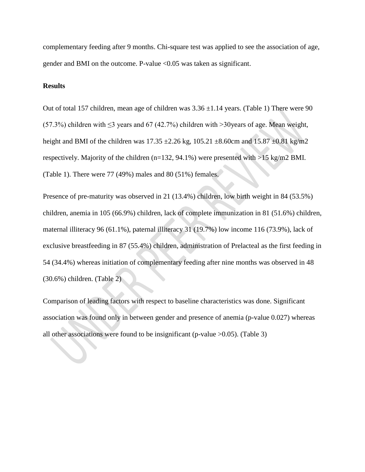complementary feeding after 9 months. Chi-square test was applied to see the association of age, gender and BMI on the outcome. P-value <0.05 was taken as significant.

#### **Results**

Out of total 157 children, mean age of children was  $3.36 \pm 1.14$  years. (Table 1) There were 90 (57.3%) children with  $\leq$ 3 years and 67 (42.7%) children with >30 years of age. Mean weight, height and BMI of the children was  $17.35 \pm 2.26$  kg,  $105.21 \pm 8.60$ cm and  $15.87 \pm 0.81$  kg/m2 respectively. Majority of the children (n=132, 94.1%) were presented with >15 kg/m2 BMI. (Table 1). There were 77 (49%) males and 80 (51%) females.

Presence of pre-maturity was observed in 21 (13.4%) children, low birth weight in 84 (53.5%) children, anemia in 105 (66.9%) children, lack of complete immunization in 81 (51.6%) children, maternal illiteracy 96 (61.1%), paternal illiteracy 31 (19.7%) low income 116 (73.9%), lack of exclusive breastfeeding in 87 (55.4%) children, administration of Prelacteal as the first feeding in 54 (34.4%) whereas initiation of complementary feeding after nine months was observed in 48 (30.6%) children. (Table 2)

Comparison of leading factors with respect to baseline characteristics was done. Significant association was found only in between gender and presence of anemia (p-value 0.027) whereas all other associations were found to be insignificant (p-value >0.05). (Table 3)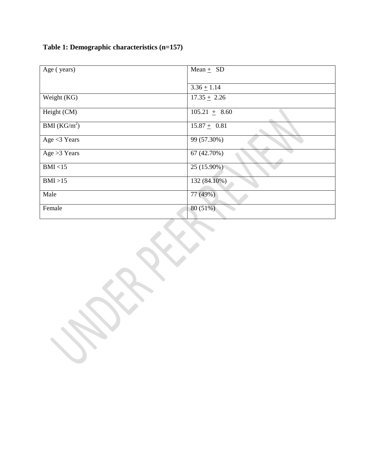|  | Table 1: Demographic characteristics (n=157) |  |  |
|--|----------------------------------------------|--|--|
|  |                                              |  |  |

| Age (years)              | Mean $+$ SD                 |  |  |
|--------------------------|-----------------------------|--|--|
|                          |                             |  |  |
|                          | $3.36 \pm 1.14$             |  |  |
| Weight (KG)              | $\overline{17.35} \pm 2.26$ |  |  |
| Height (CM)              | $105.21 \pm 8.60$           |  |  |
| BMI (KG/m <sup>2</sup> ) | $15.87 + 0.81$              |  |  |
| Age $<$ 3 Years          | 99 (57.30%)                 |  |  |
| Age $>3$ Years           | 67 (42.70%)                 |  |  |
| BMI < 15                 | 25 (15.90%)                 |  |  |
| BMI >15                  | 132 (84.10%)                |  |  |
| Male                     | 77 (49%)                    |  |  |
| Female                   | 80 (51%)                    |  |  |
|                          |                             |  |  |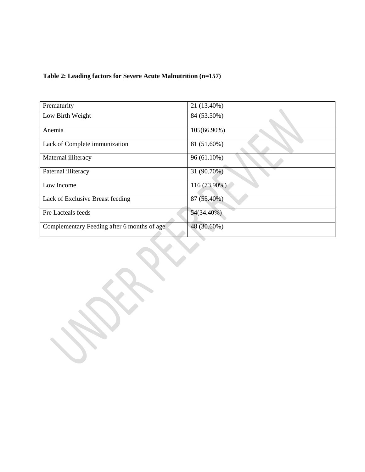### **Table 2: Leading factors for Severe Acute Malnutrition (n=157)**

| Prematurity                                 | 21 (13.40%)  |
|---------------------------------------------|--------------|
| Low Birth Weight                            | 84 (53.50%)  |
| Anemia                                      | 105(66.90%)  |
| Lack of Complete immunization               | 81 (51.60%)  |
| Maternal illiteracy                         | 96 (61.10%)  |
| Paternal illiteracy                         | 31 (90.70%)  |
| Low Income                                  | 116 (73.90%) |
| Lack of Exclusive Breast feeding            | 87 (55.40%)  |
| Pre Lacteals feeds                          | 54(34.40%)   |
| Complementary Feeding after 6 months of age | 48 (30.60%)  |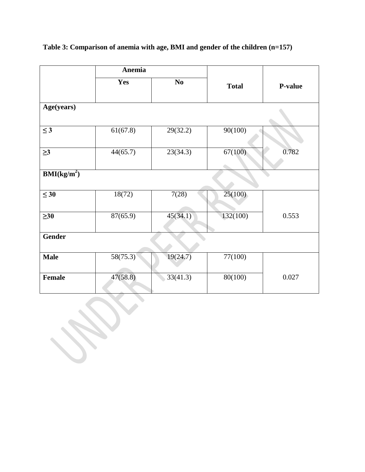|                                        | Anemia   |          |              |         |
|----------------------------------------|----------|----------|--------------|---------|
|                                        | Yes      | $\bf No$ | <b>Total</b> | P-value |
| Age(years)                             |          |          |              |         |
| $\leq$ 3                               | 61(67.8) | 29(32.2) | 90(100)      |         |
| $\geq$ 3                               | 44(65.7) | 23(34.3) | 67(100)      | 0.782   |
| $\overline{\text{BMI}(\text{kg/m}^2)}$ |          |          |              |         |
| $\leq 30$                              | 18(72)   | 7(28)    | 25(100)      |         |
| $\geq 30$                              | 87(65.9) | 45(34.1) | 132(100)     | 0.553   |
| <b>Gender</b>                          |          |          |              |         |
| <b>Male</b>                            | 58(75.3) | 19(24.7) | 77(100)      |         |
| <b>Female</b>                          | 47(58.8) | 33(41.3) | 80(100)      | 0.027   |

## **Table 3: Comparison of anemia with age, BMI and gender of the children (n=157)**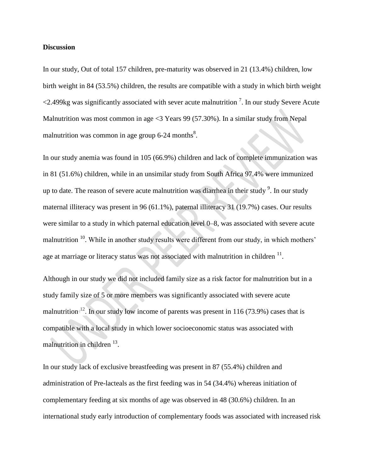#### **Discussion**

In our study, Out of total 157 children, pre-maturity was observed in 21 (13.4%) children, low birth weight in 84 (53.5%) children, the results are compatible with a study in which birth weight  $\langle 2.499 \text{kg}$  was significantly associated with sever acute malnutrition  $\frac{7}{1}$ . In our study Severe Acute Malnutrition was most common in age <3 Years 99 (57.30%). In a similar study from Nepal malnutrition was common in age group 6-24 months<sup>8</sup>.

In our study anemia was found in 105 (66.9%) children and lack of complete immunization was in 81 (51.6%) children, while in an unsimilar study from South Africa 97.4% were immunized up to date. The reason of severe acute malnutrition was diarrhea in their study  $\degree$ . In our study maternal illiteracy was present in 96 (61.1%), paternal illiteracy 31 (19.7%) cases. Our results were similar to a study in which paternal education level 0–8, was associated with severe acute malnutrition <sup>10</sup>. While in another study results were different from our study, in which mothers' age at marriage or literacy status was not associated with malnutrition in children  $^{11}$ .

Although in our study we did not included family size as a risk factor for malnutrition but in a study family size of 5 or more members was significantly associated with severe acute malnutrition <sup>12</sup>. In our study low income of parents was present in 116 (73.9%) cases that is compatible with a local study in which lower socioeconomic status was associated with malnutrition in children <sup>13</sup>.

In our study lack of exclusive breastfeeding was present in 87 (55.4%) children and administration of Pre-lacteals as the first feeding was in 54 (34.4%) whereas initiation of complementary feeding at six months of age was observed in 48 (30.6%) children. In an international study early introduction of complementary foods was associated with increased risk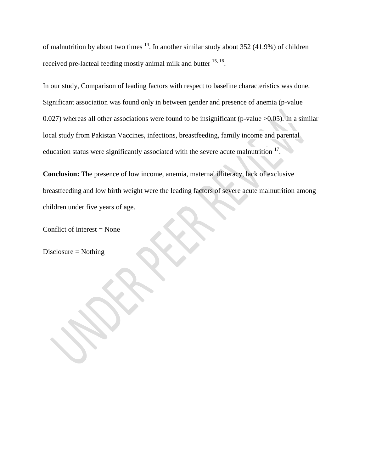of malnutrition by about two times  $14$ . In another similar study about 352 (41.9%) of children received pre-lacteal feeding mostly animal milk and butter <sup>15, 16</sup>.

In our study, Comparison of leading factors with respect to baseline characteristics was done. Significant association was found only in between gender and presence of anemia (p-value 0.027) whereas all other associations were found to be insignificant (p-value  $>0.05$ ). In a similar local study from Pakistan Vaccines, infections, breastfeeding, family income and parental education status were significantly associated with the severe acute malnutrition  $17$ .

**Conclusion:** The presence of low income, anemia, maternal illiteracy, lack of exclusive breastfeeding and low birth weight were the leading factors of severe acute malnutrition among children under five years of age.

Conflict of interest = None

Disclosure = Nothing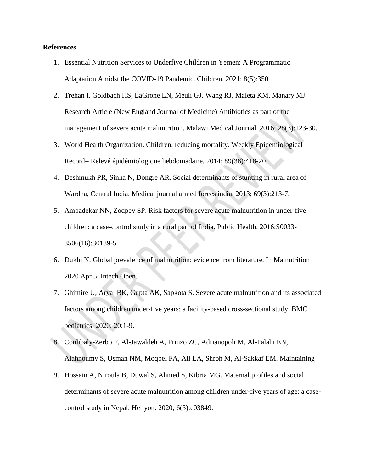#### **References**

- 1. Essential Nutrition Services to Underfive Children in Yemen: A Programmatic Adaptation Amidst the COVID-19 Pandemic. Children. 2021; 8(5):350.
- 2. Trehan I, Goldbach HS, LaGrone LN, Meuli GJ, Wang RJ, Maleta KM, Manary MJ. Research Article (New England Journal of Medicine) Antibiotics as part of the management of severe acute malnutrition. Malawi Medical Journal. 2016; 28(3):123-30.
- 3. World Health Organization. Children: reducing mortality. Weekly Epidemiological Record= Relevé épidémiologique hebdomadaire. 2014; 89(38):418-20.
- 4. Deshmukh PR, Sinha N, Dongre AR. Social determinants of stunting in rural area of Wardha, Central India. Medical journal armed forces india. 2013; 69(3):213-7.
- 5. Ambadekar NN, Zodpey SP. Risk factors for severe acute malnutrition in under-five children: a case-control study in a rural part of India. Public Health. 2016;S0033- 3506(16):30189-5
- 6. Dukhi N. Global prevalence of malnutrition: evidence from literature. In Malnutrition 2020 Apr 5. Intech Open.
- 7. Ghimire U, Aryal BK, Gupta AK, Sapkota S. Severe acute malnutrition and its associated factors among children under-five years: a facility-based cross-sectional study. BMC pediatrics. 2020; 20:1-9.
- 8. Coulibaly-Zerbo F, Al-Jawaldeh A, Prinzo ZC, Adrianopoli M, Al-Falahi EN, Alahnoumy S, Usman NM, Moqbel FA, Ali LA, Shroh M, Al-Sakkaf EM. Maintaining
- 9. Hossain A, Niroula B, Duwal S, Ahmed S, Kibria MG. Maternal profiles and social determinants of severe acute malnutrition among children under-five years of age: a casecontrol study in Nepal. Heliyon. 2020; 6(5):e03849.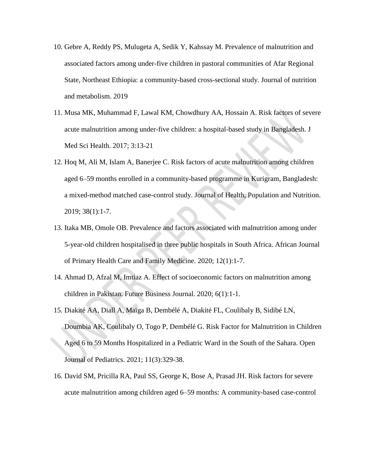- 10. Gebre A, Reddy PS, Mulugeta A, Sedik Y, Kahssay M. Prevalence of malnutrition and associated factors among under-five children in pastoral communities of Afar Regional State, Northeast Ethiopia: a community-based cross-sectional study. Journal of nutrition and metabolism. 2019
- 11. Musa MK, Muhammad F, Lawal KM, Chowdhury AA, Hossain A. Risk factors of severe acute malnutrition among under-five children: a hospital-based study in Bangladesh. J Med Sci Health. 2017; 3:13-21
- 12. Hoq M, Ali M, Islam A, Banerjee C. Risk factors of acute malnutrition among children aged 6–59 months enrolled in a community-based programme in Kurigram, Bangladesh: a mixed-method matched case-control study. Journal of Health, Population and Nutrition. 2019; 38(1):1-7.
- 13. Itaka MB, Omole OB. Prevalence and factors associated with malnutrition among under 5-year-old children hospitalised in three public hospitals in South Africa. African Journal of Primary Health Care and Family Medicine. 2020; 12(1):1-7.
- 14. Ahmad D, Afzal M, Imtiaz A. Effect of socioeconomic factors on malnutrition among children in Pakistan. Future Business Journal. 2020; 6(1):1-1.
- 15. Diakité AA, Diall A, Maïga B, Dembélé A, Diakité FL, Coulibaly B, Sidibé LN, Doumbia AK, Coulibaly O, Togo P, Dembélé G. Risk Factor for Malnutrition in Children Aged 6 to 59 Months Hospitalized in a Pediatric Ward in the South of the Sahara. Open Journal of Pediatrics. 2021; 11(3):329-38.
- 16. David SM, Pricilla RA, Paul SS, George K, Bose A, Prasad JH. Risk factors for severe acute malnutrition among children aged 6–59 months: A community-based case-control